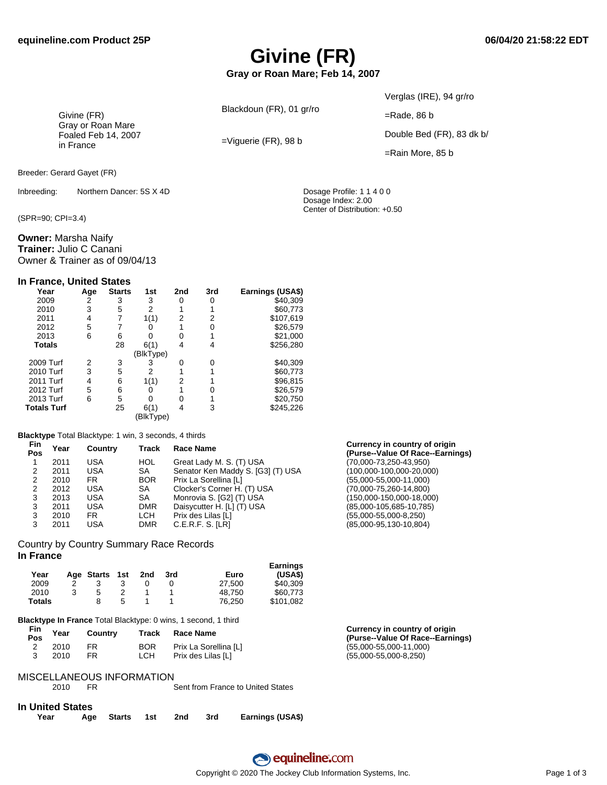# **Givine (FR)**

**Gray or Roan Mare; Feb 14, 2007**

Blackdoun (FR), 01 gr/ro

=Viguerie (FR), 98 b

Verglas (IRE), 94 gr/ro

=Rade, 86 b

Double Bed (FR), 83 dk b/

=Rain More, 85 b

Dosage Index: 2.00 Center of Distribution: +0.50

Givine (FR) Gray or Roan Mare Foaled Feb 14, 2007 in France

Breeder: Gerard Gayet (FR)

Inbreeding: Northern Dancer: 5S X 4D Dosage Profile: 1 1 4 0 0

(SPR=90; CPI=3.4)

**Owner:** Marsha Naify **Trainer:** Julio C Canani Owner & Trainer as of 09/04/13

#### **In France, United States**

| Year               | Age | <b>Starts</b> | 1st       | 2nd | 3rd | Earnings (USA\$) |
|--------------------|-----|---------------|-----------|-----|-----|------------------|
| 2009               | 2   | 3             | 3         | 0   | 0   | \$40.309         |
| 2010               | 3   | 5             | 2         |     |     | \$60,773         |
| 2011               | 4   |               | 1(1)      | 2   | 2   | \$107,619        |
| 2012               | 5   |               |           |     | 0   | \$26,579         |
| 2013               | 6   | 6             |           | 0   |     | \$21,000         |
| <b>Totals</b>      |     | 28            | 6(1)      | 4   | 4   | \$256,280        |
|                    |     |               | (BlkType) |     |     |                  |
| 2009 Turf          | 2   | 3             | 3         | 0   | 0   | \$40,309         |
| 2010 Turf          | 3   | 5             | 2         |     |     | \$60,773         |
| 2011 Turf          | 4   | 6             | 1(1)      | 2   |     | \$96,815         |
| 2012 Turf          | 5   | 6             |           |     |     | \$26.579         |
| 2013 Turf          | 6   | 5             |           | ი   |     | \$20,750         |
| <b>Totals Turf</b> |     | 25            | 6(1)      | 4   | 3   | \$245,226        |
|                    |     |               | BlkType)  |     |     |                  |

#### **Blacktype** Total Blacktype: 1 win, 3 seconds, 4 thirds

| <b>Fin</b><br>Pos | Year<br>Track<br>Country |     |            | <b>Race Name</b>                  | Currency in country of origin<br>(Purse--Value Of Race--Earnings) |
|-------------------|--------------------------|-----|------------|-----------------------------------|-------------------------------------------------------------------|
|                   | 2011                     | USA | HOL        | Great Lady M. S. (T) USA          | (70,000-73,250-43,950)                                            |
|                   | 2011                     | USA | SA.        | Senator Ken Maddy S. [G3] (T) USA | (100,000-100,000-20,000)                                          |
| 2                 | 2010                     | FR. | <b>BOR</b> | Prix La Sorellina [L]             | $(55,000 - 55,000 - 11,000)$                                      |
|                   | 2012                     | USA | SA         | Clocker's Corner H. (T) USA       | $(70,000 - 75,260 - 14,800)$                                      |
| 3                 | 2013                     | USA | SA         | Monrovia S. [G2] (T) USA          | (150,000-150,000-18,000)                                          |
| 3                 | 2011                     | USA | <b>DMR</b> | Daisycutter H. [L] (T) USA        | (85,000-105,685-10,785)                                           |
| 3                 | 2010                     | FR. | LCH        | Prix des Lilas [L]                | $(55,000 - 55,000 - 8,250)$                                       |
|                   | 2011                     | USA | <b>DMR</b> | C.E.R.F. S. [LR]                  | (85,000-95,130-10,804)                                            |
|                   |                          |     |            |                                   |                                                                   |

#### Country by Country Summary Race Records **In France**

|               |            |     |     |     |        | <b>Earnings</b> |
|---------------|------------|-----|-----|-----|--------|-----------------|
| Year          | Age Starts | 1st | 2nd | 3rd | Euro   | (USA\$)         |
| 2009          |            |     |     |     | 27.500 | \$40.309        |
| 2010          | 5          |     |     |     | 48.750 | \$60.773        |
| <b>Totals</b> |            | 5   |     |     | 76.250 | \$101.082       |

**Blacktype In France** Total Blacktype: 0 wins, 1 second, 1 third

| Fin<br><b>Pos</b> | Year | Country | Track      | Race Name             | Currency in country of origin<br>(Purse--Value Of Race--Earnings) |
|-------------------|------|---------|------------|-----------------------|-------------------------------------------------------------------|
| ∼                 | 2010 | FR.     | <b>BOR</b> | Prix La Sorellina [L] | $(55,000 - 55,000 - 11,000)$                                      |
|                   | 2010 |         | LCH        | Prix des Lilas IL1    | $(55,000 - 55,000 - 8,250)$                                       |

#### MISCELLANEOUS INFORMATION

|                         | 2010 | FR | Sent from France to United States |
|-------------------------|------|----|-----------------------------------|
| <b>In United States</b> |      |    |                                   |

| .    |                        |  |                  |
|------|------------------------|--|------------------|
| Year | Age Starts 1st 2nd 3rd |  | Earnings (USA\$) |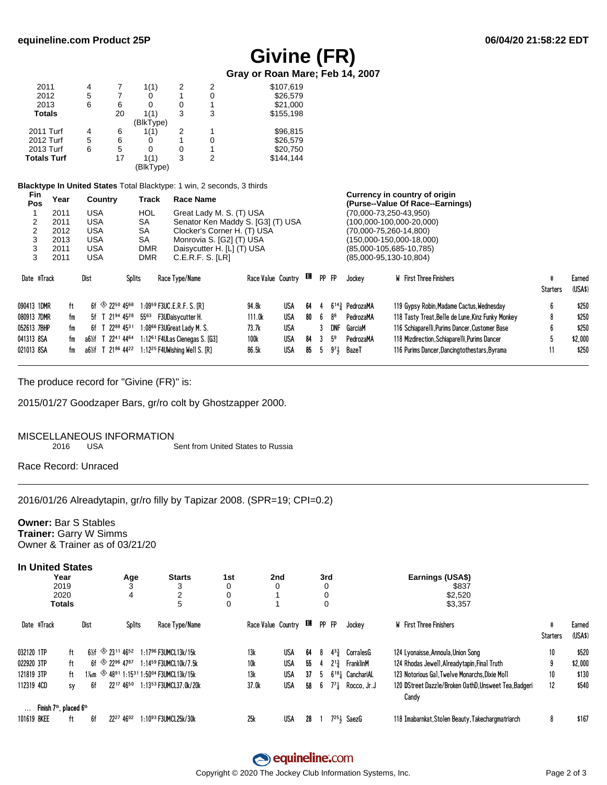### **Givine (FR)**

Gray or Roan Mare; Feb 14, 2007

| 2011          | 4 |    | 1(1)      |   | 2 | \$107,619 |
|---------------|---|----|-----------|---|---|-----------|
| 2012          | 5 |    | 0         |   | 0 | \$26,579  |
| 2013          | 6 | 6  | 0         | 0 |   | \$21,000  |
| <b>Totals</b> |   | 20 | 1(1)      | 3 | 3 | \$155,198 |
|               |   |    | (BlkType) |   |   |           |
| 2011 Turf     | 4 | 6  | 1(1)      | 2 |   | \$96,815  |
| 2012 Turf     | 5 | 6  | 0         |   | 0 | \$26,579  |
| 2013 Turf     | 6 | 5  | 0         | 0 |   | \$20,750  |
| Totals Turf   |   | 17 | 1(1)      | 3 | 2 | \$144.144 |
|               |   |    | (BlkType) |   |   |           |

Blacktype In United States Total Blacktype: 1 win, 2 seconds, 3 thirds

| <b>FIN</b><br>Pos | Year | Country                                        | Track         | Race Name                                  |                    |            |    |             |                |                                                | Currency in country or origin<br>(Purse--Value Of Race--Earnings) |          |                   |
|-------------------|------|------------------------------------------------|---------------|--------------------------------------------|--------------------|------------|----|-------------|----------------|------------------------------------------------|-------------------------------------------------------------------|----------|-------------------|
|                   | 2011 | <b>USA</b>                                     | HOL           | Great Lady M. S. (T) USA                   |                    |            |    |             |                |                                                | (70,000-73,250-43,950)                                            |          |                   |
|                   | 2011 | <b>USA</b>                                     | <b>SA</b>     | Senator Ken Maddy S. [G3] (T) USA          |                    |            |    |             |                |                                                | (100,000-100,000-20,000)                                          |          |                   |
|                   | 2012 | USA                                            | <b>SA</b>     | Clocker's Corner H. (T) USA                |                    |            |    |             |                |                                                | (70,000-75,260-14,800)                                            |          |                   |
| 3                 | 2013 | <b>USA</b>                                     | SА            | Monrovia S. [G2] (T) USA                   |                    |            |    |             |                |                                                | (150,000-150,000-18,000)                                          |          |                   |
| 3                 | 2011 | <b>USA</b>                                     | <b>DMR</b>    | Daisycutter H. [L] (T) USA                 |                    |            |    |             |                |                                                | $(85,000-105,685-10,785)$                                         |          |                   |
| 3                 | 2011 | <b>USA</b>                                     | <b>DMR</b>    | C.E.R.F.S. [LR]                            |                    |            |    |             |                |                                                | $(85,000-95,130-10,804)$                                          |          |                   |
| Date #Track       |      | Dist                                           | <b>Splits</b> | Race Type/Name                             | Race Value Country |            | в  | PP FP       |                | Jockey                                         | <b>W</b> First Three Finishers                                    | Starters | Earned<br>(USA\$) |
| 090413 1DMR       | ft   | 6f $\otimes$ 22 <sup>50</sup> 45 <sup>68</sup> |               | 1:0959 F3UC.E.R.F. S. IR1                  | 94.8k              | USA        | 64 |             |                | $6^{14}$ <sup>3</sup> / <sub>4</sub> PedrozaMA | 119 Gypsy Robin, Madame Cactus, Wednesday                         | 6        | \$250             |
| 080913 7DMR       | fm   | 5f T 21 <sup>94</sup> 45 <sup>28</sup>         | 5563          | F3UDaisycutter H.                          | 111.0k             | USA        | 80 |             | 88             | PedrozaMA                                      | 118 Tasty Treat, Belle de Lune, Kinz Funky Monkey                 | 8        | \$250             |
| 052613 7BHP       | fm   | 2288 4531<br>6f T                              |               | 1:08 <sup>66</sup> F3UGreat Ladv M. S.     | 73.7k              | USA        |    |             | DNF            | GarciaM                                        | 116 Schiaparelli, Purims Dancer, Customer Base                    | 6        | \$250             |
| 041313 8SA        | fm   | T 22 <sup>41</sup> 44 <sup>64</sup><br>a6½f    |               | 1:12 <sup>61</sup> F4ULas Cienegas S. [G3] | 100k               | USA        | 84 |             | 5 <sup>9</sup> | PedrozaMA                                      | 118 Mizdirection, Schiaparelli, Purims Dancer                     |          | \$2,000           |
| 021013 8SA        | fm   | $T$ 21 <sup>86</sup> 44 <sup>22</sup><br>a6½f  |               | $1:12^{25}$ F4UWishing Well S, IR1         | 86.5k              | <b>USA</b> | 85 | $5^{\circ}$ | 971            | BazeT                                          | 116 Purims Dancer, Dancing to the stars, Byrama                   |          | \$250             |

The produce record for "Givine (FR)" is:

2015/01/27 Goodzaper Bars, gr/ro colt by Ghostzapper 2000.

#### MISCELLANEOUS INFORMATION

2016 **USA**  Sent from United States to Russia

Race Record: Unraced

2016/01/26 Alreadytapin, gr/ro filly by Tapizar 2008. (SPR=19; CPI=0.2)

### **Owner: Bar S Stables** Trainer: Garry W Simms

Owner & Trainer as of 03/21/20

| <b>In United States</b> |  |
|-------------------------|--|
|-------------------------|--|

|                                                 | Year<br>2019<br>2020<br><b>Totals</b> |      |                                    | Age<br>4 |                                                                                    | <b>Starts</b><br>2<br>5 | 1st<br>0<br>0<br>0 |                    | 2nd        |    | 3rd<br>0<br>0<br>0 |          | Earnings (USA\$)<br>\$837<br>\$2,520<br>\$3,357 |                                                                |               |                   |
|-------------------------------------------------|---------------------------------------|------|------------------------------------|----------|------------------------------------------------------------------------------------|-------------------------|--------------------|--------------------|------------|----|--------------------|----------|-------------------------------------------------|----------------------------------------------------------------|---------------|-------------------|
| Date #Track                                     |                                       | Dist |                                    | Splits   |                                                                                    | Race Type/Name          |                    | Race Value Country |            | B  | PP FP              |          | Jockey                                          | <b>W</b> First Three Finishers                                 | #<br>Starters | Earned<br>(USA\$) |
| 032120 1TP                                      | ft                                    |      | $6\frac{1}{2}$ $\frac{114652}{ }$  |          | 1:1796 F3UMCL13k/15k                                                               |                         |                    | 13k                | <b>USA</b> | 64 | 8                  | 433      | CorralesG                                       | 124 Lyonaisse, Annoula, Union Song                             | 10            | \$520             |
| 022920 3TP                                      | ft                                    |      | 6f $\otimes$ 22 <sup>96</sup> 4787 |          | 1:1459 F3UMCL10k/7.5k                                                              |                         |                    | 10k                | USA        | 55 | 4                  | $2^{13}$ | FranklinM                                       | 124 Rhodas Jewell, Alreadytapin, Final Truth                   | 9             | \$2,000           |
| 121819 3TP                                      | ft                                    |      |                                    |          | 1‰m $\otimes$ 48 <sup>91</sup> 1:15 <sup>31</sup> 1:50 <sup>04</sup> F3UMCL13k/15k |                         |                    | 13k                | <b>USA</b> | 37 | $5 -$              |          | 6 <sup>18</sup> <sup>1</sup> CanchariAL         | 123 Notorious Gal. Twelve Monarchs. Dixie Moll                 | 10            | \$130             |
| 112319 4CD                                      | sy                                    | 6f   | 2217 4650                          |          |                                                                                    | 1:1353 F3UMCL37.0k/20k  |                    | 37.0k              | <b>USA</b> | 58 | 6                  | $7^{7}$  | Rocco, Jr.J                                     | 120 DStreet Dazzle/Broken OathD, Unsweet Tea, Badgeri<br>Candy | 12            | \$540             |
| Finish 7 <sup>th</sup> , placed 6 <sup>th</sup> |                                       |      |                                    |          |                                                                                    |                         |                    |                    |            |    |                    |          |                                                 |                                                                |               |                   |
| 101619 8KEE                                     | ft                                    | 6f   | 2227 4602                          |          |                                                                                    |                         |                    | 25k                | <b>USA</b> | 28 |                    |          | $7251$ SaezG                                    | 118 Imabarnkat, Stolen Beauty, Takechargmatriarch              |               | \$167             |